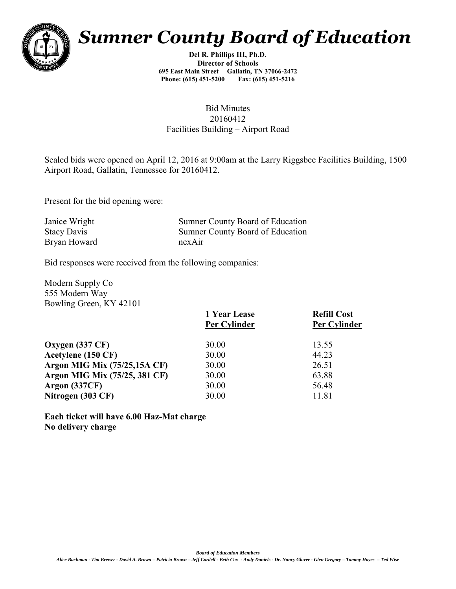

## *Sumner County Board of Education*

**Del R. Phillips III, Ph.D. Director of Schools 695 East Main Street Gallatin, TN 37066-2472 Phone: (615) 451-5200** 

## Bid Minutes 20160412 Facilities Building – Airport Road

Sealed bids were opened on April 12, 2016 at 9:00am at the Larry Riggsbee Facilities Building, 1500 Airport Road, Gallatin, Tennessee for 20160412.

Present for the bid opening were:

| Janice Wright      | Sumner County Board of Education |
|--------------------|----------------------------------|
| <b>Stacy Davis</b> | Sumner County Board of Education |
| Bryan Howard       | nexAir                           |

Bid responses were received from the following companies:

Modern Supply Co 555 Modern Way Bowling Green, KY 42101

|                                     | 1 Year Lease<br><b>Per Cylinder</b> | <b>Refill Cost</b><br><b>Per Cylinder</b> |
|-------------------------------------|-------------------------------------|-------------------------------------------|
| Oxygen $(337 \text{ CF})$           | 30.00                               | 13.55                                     |
| Acetylene (150 CF)                  | 30.00                               | 44.23                                     |
| <b>Argon MIG Mix (75/25,15A CF)</b> | 30.00                               | 26.51                                     |
| Argon MIG Mix (75/25, 381 CF)       | 30.00                               | 63.88                                     |
| Argon $(337CF)$                     | 30.00                               | 56.48                                     |
| Nitrogen (303 CF)                   | 30.00                               | 11.81                                     |

**Each ticket will have 6.00 Haz-Mat charge No delivery charge**